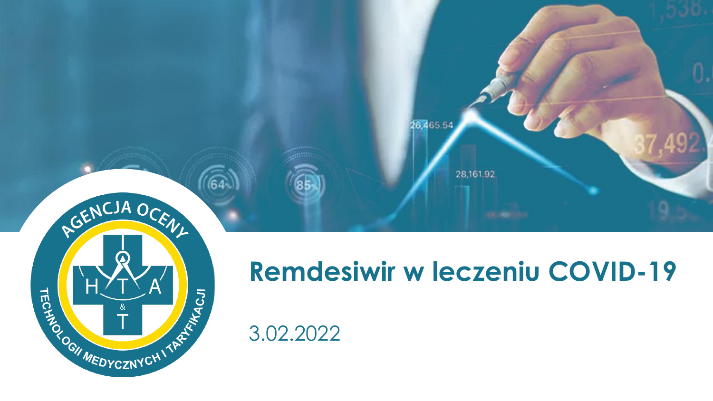

28,161.92

26,465.54



# **Remdesiwir w leczeniu COVID-19**

3.02.2022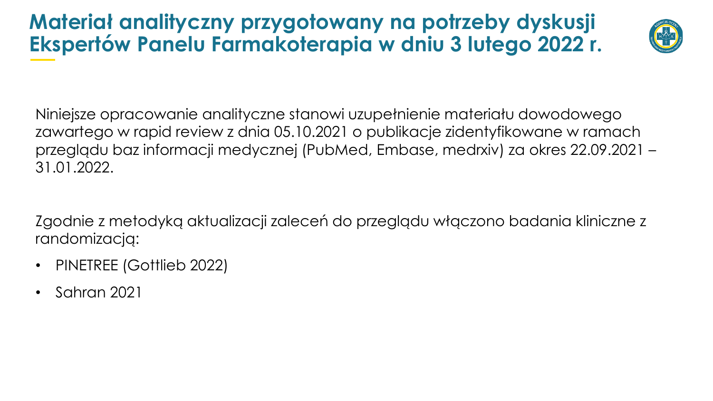# **Materiał analityczny przygotowany na potrzeby dyskusji Ekspertów Panelu Farmakoterapia w dniu 3 lutego 2022 r.**



Niniejsze opracowanie analityczne stanowi uzupełnienie materiału dowodowego zawartego w rapid review z dnia 05.10.2021 o publikacje zidentyfikowane w ramach przeglądu baz informacji medycznej (PubMed, Embase, medrxiv) za okres 22.09.2021 – 31.01.2022.

Zgodnie z metodyką aktualizacji zaleceń do przeglądu włączono badania kliniczne z randomizacją:

- PINETREE (Gottlieb 2022)
- Sahran 2021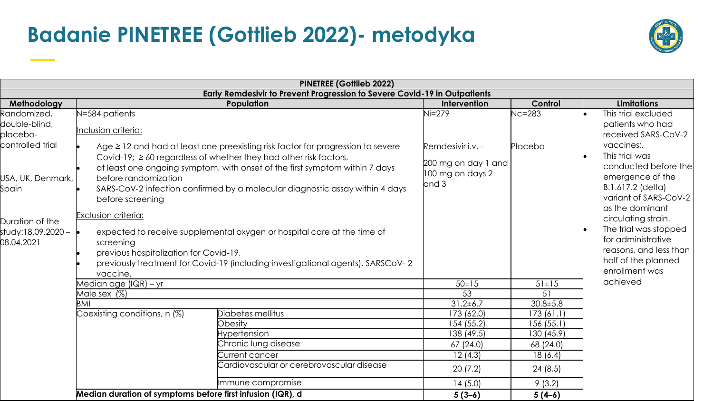# **Badanie PINETREE (Gottlieb 2022)- metodyka**



|                                                                                                                                                                  |                                                                                                                                                                                                                                                                                                                                                                                                                                           | <b>PINETREE (Gottlieb 2022)</b>                                                                                                                                 |                                                                                                       |                                                                                                                                                                                                                                   |                    |
|------------------------------------------------------------------------------------------------------------------------------------------------------------------|-------------------------------------------------------------------------------------------------------------------------------------------------------------------------------------------------------------------------------------------------------------------------------------------------------------------------------------------------------------------------------------------------------------------------------------------|-----------------------------------------------------------------------------------------------------------------------------------------------------------------|-------------------------------------------------------------------------------------------------------|-----------------------------------------------------------------------------------------------------------------------------------------------------------------------------------------------------------------------------------|--------------------|
|                                                                                                                                                                  |                                                                                                                                                                                                                                                                                                                                                                                                                                           | Early Remdesivir to Prevent Progression to Severe Covid-19 in Outpatients                                                                                       |                                                                                                       |                                                                                                                                                                                                                                   |                    |
|                                                                                                                                                                  |                                                                                                                                                                                                                                                                                                                                                                                                                                           | <b>Population</b>                                                                                                                                               | Intervention                                                                                          | Control                                                                                                                                                                                                                           | <b>Limitations</b> |
| Methodology<br>Randomized,<br>double-blind,<br>placebo-<br>controlled trial<br>USA, UK, Denmark,<br>Spain<br>Duration of the<br>study:18.09.2020 –<br>08.04.2021 | N=584 patients<br>Inclusion criteria:<br>Age $\geq$ 12 and had at least one preexisting risk factor for progression to severe<br>Covid-19; $\geq$ 60 regardless of whether they had other risk factors.<br>at least one ongoing symptom, with onset of the first symptom within 7 days<br>before randomization<br>SARS-CoV-2 infection confirmed by a molecular diagnostic assay within 4 days<br>before screening<br>Exclusion criteria: | $Ni=279$<br>$Nc = 283$<br>Placebo<br>Remdesivir i.v. -<br>200 mg on day 1 and<br>100 mg on days 2<br>and 3                                                      |                                                                                                       | This trial excluded<br>patients who had<br>received SARS-CoV-2<br>vaccines:<br>This trial was<br>conducted before the<br>emergence of the<br>B.1.617.2 (delta)<br>variant of SARS-CoV-2<br>as the dominant<br>circulating strain. |                    |
|                                                                                                                                                                  | expected to receive supplemental oxygen or hospital care at the time of<br>screening<br>previous hospitalization for Covid-19,<br>previously treatment for Covid-19 (including investigational agents), SARSCoV-2<br>vaccine.                                                                                                                                                                                                             |                                                                                                                                                                 |                                                                                                       | The trial was stopped<br>for administrative<br>reasons, and less than<br>half of the planned<br>enrollment was                                                                                                                    |                    |
|                                                                                                                                                                  | Median age (IQR) – yr                                                                                                                                                                                                                                                                                                                                                                                                                     | $50 \pm 15$                                                                                                                                                     | $51 \pm 15$                                                                                           | achieved                                                                                                                                                                                                                          |                    |
|                                                                                                                                                                  | Male sex (%)                                                                                                                                                                                                                                                                                                                                                                                                                              | 53                                                                                                                                                              | 51                                                                                                    |                                                                                                                                                                                                                                   |                    |
|                                                                                                                                                                  | BMI<br>Coexisting conditions, $n$ (%)                                                                                                                                                                                                                                                                                                                                                                                                     | Diabetes mellitus<br>Obesity<br><b>Hypertension</b><br>Chronic lung disease<br>Current cancer<br>Cardiovascular or cerebrovascular disease<br>Immune compromise | $31.2 \pm 6.7$<br>173 (62.0)<br>154 (55.2)<br>138 (49.5)<br>67(24.0)<br>12(4.3)<br>20(7.2)<br>14(5.0) | $30.8 \pm 5.8$<br>173(61.1)<br>156 (55.1)<br>130 (45.9)<br>68 (24.0)<br>18(6.4)<br>24(8.5)<br>9(3.2)                                                                                                                              |                    |
|                                                                                                                                                                  | Median duration of symptoms before first infusion (IQR), d                                                                                                                                                                                                                                                                                                                                                                                |                                                                                                                                                                 | $5(3-6)$                                                                                              | $5(4-6)$                                                                                                                                                                                                                          |                    |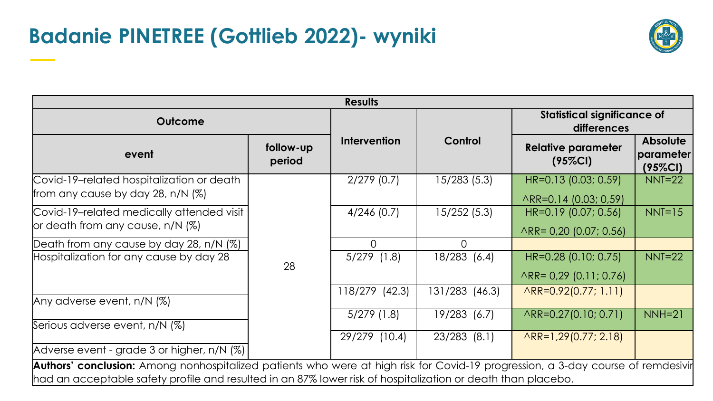# **Badanie PINETREE (Gottlieb 2022)- wyniki**



| <b>Results</b>                                                                                                                                                                                                                                   |                     |                           |                                                   |                                                              |                                            |  |  |  |  |
|--------------------------------------------------------------------------------------------------------------------------------------------------------------------------------------------------------------------------------------------------|---------------------|---------------------------|---------------------------------------------------|--------------------------------------------------------------|--------------------------------------------|--|--|--|--|
| <b>Outcome</b>                                                                                                                                                                                                                                   |                     |                           | <b>Statistical significance of</b><br>differences |                                                              |                                            |  |  |  |  |
| event                                                                                                                                                                                                                                            | follow-up<br>period | <b>Intervention</b>       | Control                                           | <b>Relative parameter</b><br>$(95\%CI)$                      | <b>Absolute</b><br>parameter<br>$(95\%CI)$ |  |  |  |  |
| Covid-19-related hospitalization or death<br>from any cause by day 28, n/N $(\%)$                                                                                                                                                                |                     | $2/279$ (0.7)             | 15/283 (5.3)                                      | HR=0.13 (0.03; 0.59)<br>ARR=0.14 (0.03; 0,59)                | $NNT=22$                                   |  |  |  |  |
| Covid-19-related medically attended visit<br>$\sigma$ death from any cause, n/N $(\%)$                                                                                                                                                           |                     | $4/246$ (0.7)             | 15/252 (5.3)                                      | HR=0.19 (0.07; 0.56)<br>$\triangle$ RR= 0,20 (0.07; 0.56)    | $NNT=15$                                   |  |  |  |  |
| Death from any cause by day 28, n/N (%)<br>Hospitalization for any cause by day 28                                                                                                                                                               | 28                  | $\Omega$<br>$5/279$ (1.8) | $\Omega$<br>18/283 (6.4)                          | HR=0.28 (0.10; 0.75)                                         | $NNT=22$                                   |  |  |  |  |
|                                                                                                                                                                                                                                                  |                     | 118/279 (42.3)            | 131/283 (46.3)                                    | $\triangle$ RR= 0,29 (0.11; 0.76)<br>$AR = 0.92(0.77; 1.11)$ |                                            |  |  |  |  |
| Any adverse event, n/N (%)                                                                                                                                                                                                                       |                     |                           |                                                   |                                                              |                                            |  |  |  |  |
| Serious adverse event, n/N (%)                                                                                                                                                                                                                   |                     | $5/279$ (1.8)             | 19/283 (6.7)                                      | $AR = 0.27(0.10; 0.71)$                                      | $NNH=21$                                   |  |  |  |  |
| Adverse event - grade 3 or higher, n/N (%)                                                                                                                                                                                                       |                     | 29/279 (10.4)             | $23/283$ (8.1)                                    | $AR = 1,29(0.77; 2.18)$                                      |                                            |  |  |  |  |
| Authors' conclusion: Among nonhospitalized patients who were at high risk for Covid-19 progression, a 3-day course of remdesivir<br>had an acceptable safety profile and resulted in an 87% lower risk of hospitalization or death than placebo. |                     |                           |                                                   |                                                              |                                            |  |  |  |  |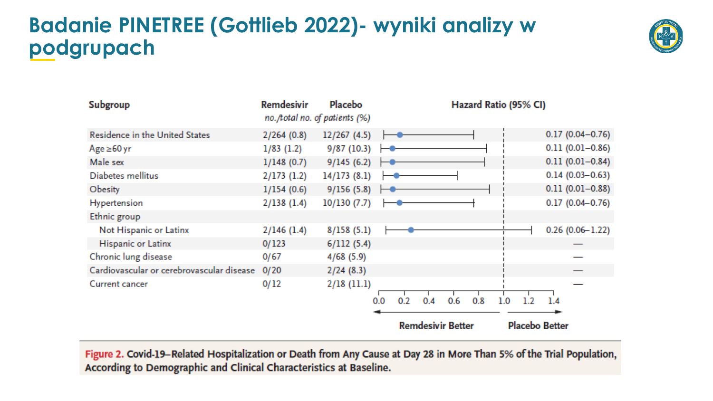# **Badanie PINETREE (Gottlieb 2022)- wyniki analizy w podgrupach**



| Subgroup                                  | <b>Remdesivir</b><br>no./total no. of patients (%) | Placebo      |                          |     |     |     |                       | Hazard Ratio (95% CI) |  |     |                     |
|-------------------------------------------|----------------------------------------------------|--------------|--------------------------|-----|-----|-----|-----------------------|-----------------------|--|-----|---------------------|
| Residence in the United States            | 2/264(0.8)                                         | 12/267 (4.5) |                          |     |     |     |                       |                       |  |     | $0.17(0.04 - 0.76)$ |
| $Age \ge 60 yr$                           | $1/83$ (1.2)                                       | 9/87(10.3)   |                          |     |     |     |                       |                       |  |     | $0.11(0.01 - 0.86)$ |
| Male sex                                  | 1/148(0.7)                                         | 9/145(6.2)   |                          |     |     |     |                       |                       |  |     | $0.11(0.01 - 0.84)$ |
| Diabetes mellitus                         | 2/173(1.2)                                         | 14/173(8.1)  |                          |     |     |     |                       |                       |  |     | $0.14(0.03 - 0.63)$ |
| Obesity                                   | 1/154(0.6)                                         | 9/156(5.8)   |                          |     |     |     |                       |                       |  |     | $0.11(0.01 - 0.88)$ |
| Hypertension                              | 2/138(1.4)                                         | 10/130(7.7)  |                          |     |     |     |                       |                       |  |     | $0.17(0.04 - 0.76)$ |
| Ethnic group                              |                                                    |              |                          |     |     |     |                       |                       |  |     |                     |
| Not Hispanic or Latinx                    | $2/146$ (1.4)                                      | 8/158(5.1)   |                          |     |     |     |                       |                       |  |     | $0.26(0.06 - 1.22)$ |
| Hispanic or Latinx                        | 0/123                                              | 6/112(5.4)   |                          |     |     |     |                       |                       |  |     |                     |
| Chronic lung disease                      | 0/67                                               | 4/68(5.9)    |                          |     |     |     |                       |                       |  |     |                     |
| Cardiovascular or cerebrovascular disease | 0/20                                               | 2/24(8.3)    |                          |     |     |     |                       |                       |  |     |                     |
| Current cancer                            | 0/12                                               | 2/18(11.1)   |                          |     |     |     |                       |                       |  |     |                     |
|                                           |                                                    |              | 0.0                      | 0.2 | 0.4 | 0.6 | 0.8                   | 1.0                   |  | 1.4 |                     |
|                                           |                                                    |              | <b>Remdesivir Better</b> |     |     |     | <b>Placebo Better</b> |                       |  |     |                     |

Figure 2. Covid-19-Related Hospitalization or Death from Any Cause at Day 28 in More Than 5% of the Trial Population, According to Demographic and Clinical Characteristics at Baseline.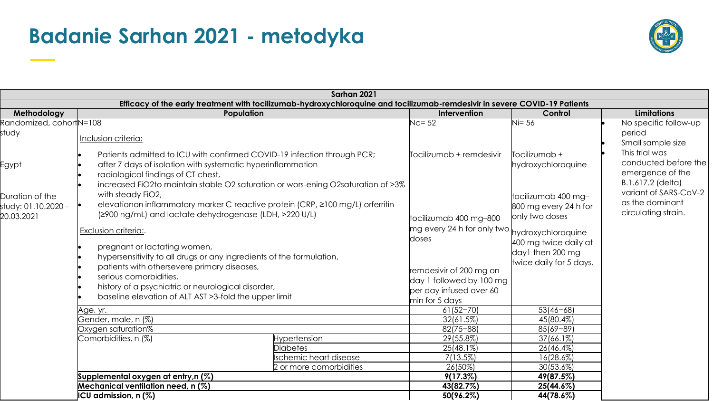#### **Badanie Sarhan 2021 - metodyka**



| Sarhan 2021                                                                                                                |                                                                                                                                                                                                                                                                  |                                                                                                                                                                                                                                                                                                                                                                                                                                                                                                                                             |                                                                                            |                                                                 |                                                                                 |  |  |  |
|----------------------------------------------------------------------------------------------------------------------------|------------------------------------------------------------------------------------------------------------------------------------------------------------------------------------------------------------------------------------------------------------------|---------------------------------------------------------------------------------------------------------------------------------------------------------------------------------------------------------------------------------------------------------------------------------------------------------------------------------------------------------------------------------------------------------------------------------------------------------------------------------------------------------------------------------------------|--------------------------------------------------------------------------------------------|-----------------------------------------------------------------|---------------------------------------------------------------------------------|--|--|--|
| Efficacy of the early treatment with tocilizumab-hydroxychloroquine and tocilizumab-remdesivir in severe COVID-19 Patients |                                                                                                                                                                                                                                                                  |                                                                                                                                                                                                                                                                                                                                                                                                                                                                                                                                             |                                                                                            |                                                                 |                                                                                 |  |  |  |
| Methodology                                                                                                                | Population                                                                                                                                                                                                                                                       |                                                                                                                                                                                                                                                                                                                                                                                                                                                                                                                                             | Intervention                                                                               | Control                                                         | <b>Limitations</b>                                                              |  |  |  |
| Randomized, cohortN=108<br>study                                                                                           | Inclusion criteria:                                                                                                                                                                                                                                              |                                                                                                                                                                                                                                                                                                                                                                                                                                                                                                                                             | $Nc = 52$                                                                                  | $\sqrt{1} = 56$                                                 | No specific follow-up<br>period<br>Small sample size                            |  |  |  |
| Egypt                                                                                                                      | Patients admitted to ICU with confirmed COVID-19 infection through PCR;<br>after 7 days of isolation with systematic hyperinflammation<br>radiological findings of CT chest,<br>increased FiO2to maintain stable O2 saturation or wors-ening O2saturation of >3% |                                                                                                                                                                                                                                                                                                                                                                                                                                                                                                                                             | $\overline{\mathbb{F}}$ ocilizumab + remdesivir                                            | $\overline{\text{T}}$ ocilizumab +<br>hydroxychloroquine        | This trial was<br>conducted before the<br>emergence of the<br>B.1.617.2 (delta) |  |  |  |
| Duration of the<br>study: 01.10.2020 -<br>20.03.2021                                                                       | with steady FiO2,<br>elevationon inflammatory marker C-reactive protein (CRP, ≥100 mg/L) orferritin<br>(≥900 ng/mL) and lactate dehydrogenase (LDH, >220 U/L)                                                                                                    | tocilizumab 400 mg-800                                                                                                                                                                                                                                                                                                                                                                                                                                                                                                                      | tocilizumab 400 mg-<br>800 mg every 24 h for<br>only two doses                             | variant of SARS-CoV-2<br>as the dominant<br>circulating strain. |                                                                                 |  |  |  |
|                                                                                                                            | Exclusion criteria:.<br>pregnant or lactating women,<br>hypersensitivity to all drugs or any ingredients of the formulation,<br>patients with othersevere primary diseases,<br>serious comorbidities,<br>history of a psychiatric or neurological disorder,      | $\left\lfloor{\log \frac{1}{\sqrt{1 + \left(1 + \frac{1}{\sqrt{1 + \left(1 + \frac{1}{\sqrt{1 + \left(1 + \frac{1}{\sqrt{1 + \left(1 + \frac{1}{\sqrt{1 + \left(1 + \frac{1}{\sqrt{1 + \left(1 + \frac{1}{\sqrt{1 + \left(1 + \frac{1}{\sqrt{1 + \left(1 + \frac{1}{\sqrt{1 + \left(1 + \frac{1}{\sqrt{1 + \left(1 + \frac{1}{\sqrt{1 + \left(1 + \frac{1}{\sqrt{1 + \left(1 + \frac{1}{\sqrt{1 + \left(1 + \frac{1}{\sqrt{1 + \left(1 + \frac{$<br>doses<br>remdesivir of 200 mg on<br>day 1 followed by 100 mg<br>per day infused over 60 | hydroxychloroquine<br>400 mg twice daily at<br>day1 then 200 mg<br>twice daily for 5 days. |                                                                 |                                                                                 |  |  |  |
|                                                                                                                            | baseline elevation of ALT AST > 3-fold the upper limit                                                                                                                                                                                                           |                                                                                                                                                                                                                                                                                                                                                                                                                                                                                                                                             | min for 5 days                                                                             |                                                                 |                                                                                 |  |  |  |
|                                                                                                                            | Age, yr.                                                                                                                                                                                                                                                         | $61(52 - 70)$                                                                                                                                                                                                                                                                                                                                                                                                                                                                                                                               | $53(46 - 68)$                                                                              |                                                                 |                                                                                 |  |  |  |
|                                                                                                                            | Gender, male, n (%)                                                                                                                                                                                                                                              | 32(61.5%)                                                                                                                                                                                                                                                                                                                                                                                                                                                                                                                                   | 45(80.4%)                                                                                  |                                                                 |                                                                                 |  |  |  |
|                                                                                                                            | Oxygen saturation%                                                                                                                                                                                                                                               | $82(75 - 88)$                                                                                                                                                                                                                                                                                                                                                                                                                                                                                                                               | $85(69 - 89)$                                                                              |                                                                 |                                                                                 |  |  |  |
|                                                                                                                            | Comorbidities, n (%)                                                                                                                                                                                                                                             | <b>Hypertension</b>                                                                                                                                                                                                                                                                                                                                                                                                                                                                                                                         | 29(55.8%)                                                                                  | 37(66.1%)                                                       |                                                                                 |  |  |  |
|                                                                                                                            |                                                                                                                                                                                                                                                                  | <b>Diabetes</b>                                                                                                                                                                                                                                                                                                                                                                                                                                                                                                                             | 25(48.1%)                                                                                  | 26(46.4%)                                                       |                                                                                 |  |  |  |
|                                                                                                                            |                                                                                                                                                                                                                                                                  | Ischemic heart disease<br>2 or more comorbidities                                                                                                                                                                                                                                                                                                                                                                                                                                                                                           | 7(13.5%)                                                                                   | 16(28.6%)                                                       |                                                                                 |  |  |  |
|                                                                                                                            |                                                                                                                                                                                                                                                                  | 26(50%)                                                                                                                                                                                                                                                                                                                                                                                                                                                                                                                                     | 30(53.6%)                                                                                  |                                                                 |                                                                                 |  |  |  |
|                                                                                                                            | Supplemental oxygen at entry,n (%)<br>Mechanical ventilation need, n (%)                                                                                                                                                                                         |                                                                                                                                                                                                                                                                                                                                                                                                                                                                                                                                             | $9(17.3\%)$                                                                                | 49(87.5%)                                                       |                                                                                 |  |  |  |
|                                                                                                                            | ICU admission, n (%)                                                                                                                                                                                                                                             | 43(82.7%)<br>50(96.2%)                                                                                                                                                                                                                                                                                                                                                                                                                                                                                                                      | 25(44.6%)<br>44(78.6%)                                                                     |                                                                 |                                                                                 |  |  |  |
|                                                                                                                            |                                                                                                                                                                                                                                                                  |                                                                                                                                                                                                                                                                                                                                                                                                                                                                                                                                             |                                                                                            |                                                                 |                                                                                 |  |  |  |